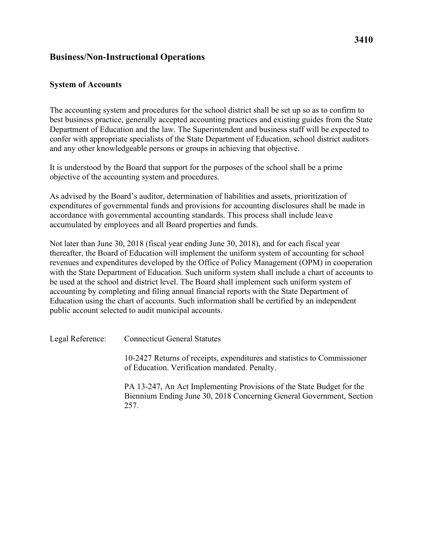## **Business/Non-Instructional Operations**

## **System of Accounts**

The accounting system and procedures for the school district shall be set up so as to confirm to best business practice, generally accepted accounting practices and existing guides from the State Department of Education and the law. The Superintendent and business staff will be expected to confer with appropriate specialists of the State Department of Education, school district auditors and any other knowledgeable persons or groups in achieving that objective.

 It is understood by the Board that support for the purposes of the school shall be a prime objective of the accounting system and procedures.

As advised by the Board's auditor, determination of liabilities and assets, prioritization of expenditures of governmental funds and provisions for accounting disclosures shall be made in accordance with governmental accounting standards. This process shall include leave accumulated by employees and all Board properties and funds.

Not later than June 30, 2018 (fiscal year ending June 30, 2018), and for each fiscal year thereafter, the Board of Education will implement the uniform system of accounting for school revenues and expenditures developed by the Office of Policy Management (OPM) in cooperation with the State Department of Education. Such uniform system shall include a chart of accounts to be used at the school and district level. The Board shall implement such uniform system of accounting by completing and filing annual financial reports with the State Department of Education using the chart of accounts. Such information shall be certified by an independent public account selected to audit municipal accounts.

Legal Reference:

Connecticut General Statutes

10-2427 Returns of receipts, expenditures and statistics to Commissioner of Education. Verification mandated. Penalty.

PA 13-247, An Act Implementing Provisions of the State Budget for the Biennium Ending June 30, 2018 Concerning General Government, Section 257.